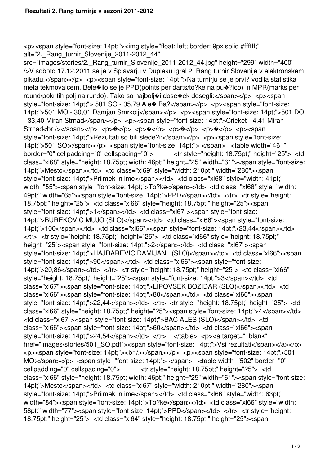<p><span style="font-size: 14pt;"><img style="float: left; border: 9px solid #ffffff;" alt="2. Rang\_turnir\_Slovenije\_2011-2012\_44"

src="images/stories/2. Rang\_turnir\_Slovenije\_2011-2012\_44.jpg" height="299" width="400" />V soboto 17.12.2011 se je v Splavarju v Dupleku igral 2. Rang turnir Slovenije v elektronskem pikadu.</span></p> <p><span style="font-size: 14pt;">Na turnirju se je prvi? vodila statistika meta tekmovalcem. Bele�ilo se je PPD(points per darts/to?ke na pu�?ico) in MPR(marks per round/pokritih polj na rundo). Tako so najbolj�i dose�ek dosegli:</span></p> <p><span style="font-size: 14pt;"> 501 SO - 35,79 Ale� Ba?</span></p> <p><span style="font-size: 14pt;">501 MO - 30,01 Damjan Smrkolj</span></p> <p><span style="font-size: 14pt;">501 DO - 33,40 Miran Strnad</span></p> <p><span style="font-size: 14pt;">Cricket - 4,41 Miran Strnad<br/>chr />>/span></p> <p> $\bullet$ </p> <p> $\bullet$ </p> <p> $\bullet$ </p></p> <p> $\bullet$ </p></p> <p><span style="font-size: 14pt;">Rezultati so bili slede?i:</span></p> <p><span style="font-size: 14pt;">501 SO:</span></p> <span style="font-size: 14pt;"> </span> <table width="461" border="0" cellpadding="0" cellspacing="0"> <tr style="height: 18.75pt;" height="25"> <td class="xl68" style="height: 18.75pt; width: 46pt;" height="25" width="61"><span style="font-size: 14pt;">Mesto</span></td> <td class="xl69" style="width: 210pt;" width="280"><span style="font-size: 14pt;">Priimek in ime</span></td> <td class="xl68" style="width: 41pt;" width="55"><span style="font-size: 14pt;">To?ke</span></td> <td class="xl68" style="width: 49pt;" width="65"><span style="font-size: 14pt;">PPD</span></td> </tr> <tr style="height: 18.75pt;" height="25"> <td class="xl66" style="height: 18.75pt;" height="25"><span style="font-size: 14pt;">1</span></td> <td class="xl67"><span style="font-size: 14pt;">BUREKOVIC MUJO (SLO)</span></td> <td class="xl66"><span style="font-size: 14pt;">100</span></td> <td class="xl66"><span style="font-size: 14pt;">23,44</span></td> </tr> <tr style="height: 18.75pt;" height="25"> <td class="xl66" style="height: 18.75pt;" height="25"><span style="font-size: 14pt;">2</span></td> <td class="xl67"><span style="font-size: 14pt;">HAJDAREVIC DAMIJAN (SLO)</span></td> <td class="xl66"><span style="font-size: 14pt;">90</span></td> <td class="xl66"><span style="font-size: 14pt;">20,86</span></td> </tr> <tr style="height: 18.75pt;" height="25"> <td class="xl66" style="height: 18.75pt;" height="25"><span style="font-size: 14pt;">3</span></td> <td class="xl67"><span style="font-size: 14pt;">LIPOVSEK BOZIDAR (SLO)</span></td> <td class="xl66"><span style="font-size: 14pt;">80</span></td> <td class="xl66"><span style="font-size: 14pt;">22,44</span></td> </tr> <tr style="height: 18.75pt;" height="25"> <td class="xl66" style="height: 18.75pt;" height="25"><span style="font-size: 14pt;">4</span></td> <td class="xl67"><span style="font-size: 14pt;">BAC ALES (SLO)</span></td> <td class="xl66"><span style="font-size: 14pt;">60</span></td> <td class="xl66"><span style="font-size: 14pt;">24,54</span></td> </tr> </table> <p><a target=" blank" href="images/stories/501\_SO.pdf"><span style="font-size: 14pt;">Vsi rezultati</span></a></p> <p><span style="font-size: 14pt;"><br /></span></p> <p><span style="font-size: 14pt;">501 MO:</span></p> <span style="font-size: 14pt;"> </span> <table width="502" border="0" cellpadding="0" cellspacing="0"> <tr style="height: 18.75pt;" height="25"> <td class="xl66" style="height: 18.75pt; width: 46pt;" height="25" width="61"><span style="font-size: 14pt;">Mesto</span></td> <td class="xl67" style="width: 210pt;" width="280"><span style="font-size: 14pt;">Priimek in ime</span></td> <td class="xl66" style="width: 63pt;" width="84"><span style="font-size: 14pt;">To?ke</span></td> <td class="xl66" style="width: 58pt;" width="77"><span style="font-size: 14pt;">PPD</span></td> </tr> <tr style="height: 18.75pt;" height="25"> <td class="xl64" style="height: 18.75pt;" height="25"><span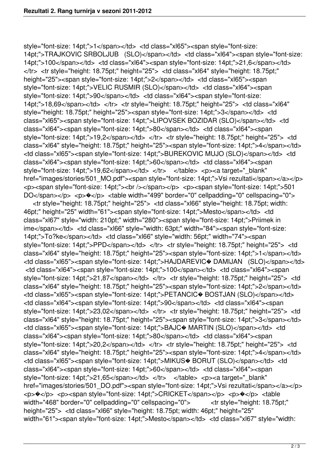style="font-size: 14pt;">1</span></td> <td class="xl65"><span style="font-size: 14pt;">TRAJKOVIC SRBOLJUB (SLO)</span></td> <td class="xl64"><span style="font-size: 14pt;">100</span></td> <td class="xl64"><span style="font-size: 14pt;">21,6</span></td> </tr> <tr style="height: 18.75pt;" height="25"> <td class="xl64" style="height: 18.75pt;" height="25"><span style="font-size: 14pt;">2</span></td> <td class="xl65"><span style="font-size: 14pt;">VELIC RUSMIR (SLO)</span></td> <td class="xl64"><span style="font-size: 14pt;">90</span></td> <td class="xl64"><span style="font-size: 14pt;">18,69</span></td> </tr> <tr style="height: 18.75pt;" height="25"> <td class="xl64" style="height: 18.75pt;" height="25"><span style="font-size: 14pt;">3</span></td> <td class="xl65"><span style="font-size: 14pt;">LIPOVSEK BOZIDAR (SLO)</span></td> <td class="xl64"><span style="font-size: 14pt;">80</span></td> <td class="xl64"><span style="font-size: 14pt;">19,2</span></td> </tr> <tr style="height: 18.75pt;" height="25"> <td class="xl64" style="height: 18.75pt;" height="25"><span style="font-size: 14pt;">4</span></td> <td class="xl65"><span style="font-size: 14pt;">BUREKOVIC MUJO (SLO)</span></td> <td class="xl64"><span style="font-size: 14pt;">60</span></td> <td class="xl64"><span style="font-size: 14pt;">19,62</span></td> </tr> </table> <p><a target=" blank" href="images/stories/501\_MO.pdf"><span style="font-size: 14pt;">Vsi rezultati</span></a></p> <p><span style="font-size: 14pt;"><br /></span></p> <p><span style="font-size: 14pt;">501 DO</span></p> <p>  $\triangleleft$ y> <table width="499" border="0" cellpadding="0" cellspacing="0">

 <tr style="height: 18.75pt;" height="25"> <td class="xl66" style="height: 18.75pt; width: 46pt;" height="25" width="61"><span style="font-size: 14pt;">Mesto</span></td> <td class="xl67" style="width: 210pt;" width="280"><span style="font-size: 14pt;">Priimek in ime</span></td> <td class="xl66" style="width: 63pt;" width="84"><span style="font-size: 14pt;">To?ke</span></td> <td class="xl66" style="width: 56pt;" width="74"><span style="font-size: 14pt;">PPD</span></td> </tr> <tr style="height: 18.75pt;" height="25"> <td class="xl64" style="height: 18.75pt;" height="25"><span style="font-size: 14pt;">1</span></td> <td class="xl65"><span style="font-size: 14pt;">HAJDAREVIC� DAMIJAN (SLO)</span></td> <td class="xl64"><span style="font-size: 14pt;">100</span></td> <td class="xl64"><span style="font-size: 14pt;">21,87</span></td> </tr> <tr style="height: 18.75pt;" height="25"> <td class="xl64" style="height: 18.75pt;" height="25"><span style="font-size: 14pt;">2</span></td> <td class="xl65"><span style="font-size: 14pt;">PETANCIC� BOSTJAN (SLO)</span></td> <td class="xl64"><span style="font-size: 14pt;">90</span></td> <td class="xl64"><span style="font-size: 14pt;">23,02</span></td> </tr> <tr style="height: 18.75pt;" height="25"> <td class="xl64" style="height: 18.75pt;" height="25"><span style="font-size: 14pt;">3</span></td> <td class="xl65"><span style="font-size: 14pt;">BAJC� MARTIN (SLO)</span></td> <td class="xl64"><span style="font-size: 14pt;">80</span></td> <td class="xl64"><span style="font-size: 14pt;">20,2</span></td> </tr> <tr style="height: 18.75pt;" height="25"> <td class="xl64" style="height: 18.75pt;" height="25"><span style="font-size: 14pt;">4</span></td> <td class="xl65"><span style="font-size: 14pt;">MIKUS� BORUT (SLO)</span></td> <td class="xl64"><span style="font-size: 14pt;">60</span></td> <td class="xl64"><span style="font-size: 14pt;">21,65</span></td> </tr> </table> <p><a target=" blank" href="images/stories/501\_DO.pdf"><span style="font-size: 14pt;">Vsi rezultati</span></a></p> <p>�</p> <p><span style="font-size: 14pt;">CRICKET</span></p> <p>�</p> <table width="468" border="0" cellpadding="0" cellspacing="0"> <tr style="height: 18.75pt:" height="25"> <td class="xl66" style="height: 18.75pt; width: 46pt;" height="25" width="61"><span style="font-size: 14pt;">Mesto</span></td> <td class="xl67" style="width: